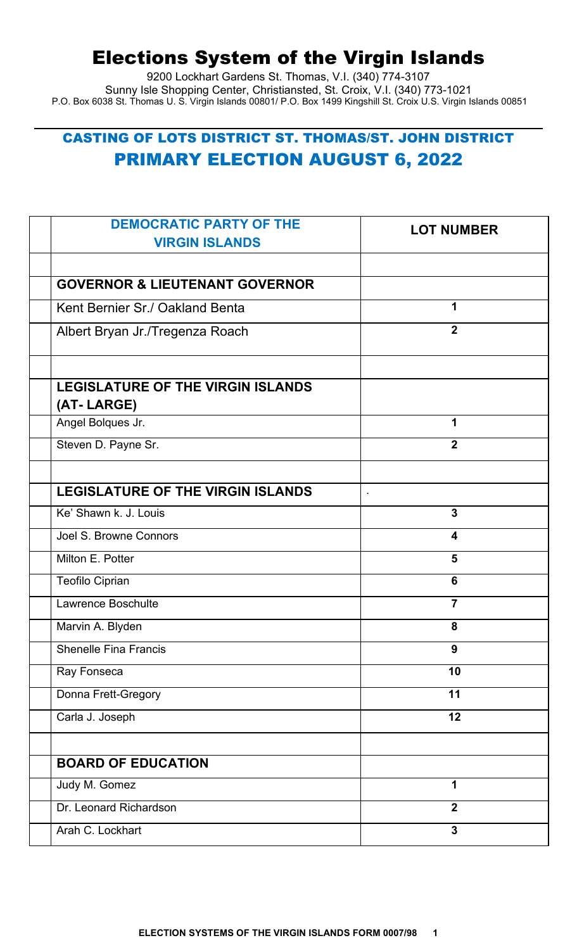# Elections System of the Virgin Islands

9200 Lockhart Gardens St. Thomas, V.I. (340) 774-3107 Sunny Isle Shopping Center, Christiansted, St. Croix, V.I. (340) 773-1021 P.O. Box 6038 St. Thomas U. S. Virgin Islands 00801/ P.O. Box 1499 Kingshill St. Croix U.S. Virgin Islands 00851

## CASTING OF LOTS DISTRICT ST. THOMAS/ST. JOHN DISTRICT PRIMARY ELECTION AUGUST 6, 2022

| <b>DEMOCRATIC PARTY OF THE</b><br><b>VIRGIN ISLANDS</b> | <b>LOT NUMBER</b> |
|---------------------------------------------------------|-------------------|
|                                                         |                   |
| <b>GOVERNOR &amp; LIEUTENANT GOVERNOR</b>               |                   |
| Kent Bernier Sr./ Oakland Benta                         | 1                 |
| Albert Bryan Jr./Tregenza Roach                         | $\overline{2}$    |
|                                                         |                   |
| <b>LEGISLATURE OF THE VIRGIN ISLANDS</b><br>(AT-LARGE)  |                   |
| Angel Bolques Jr.                                       | 1                 |
| Steven D. Payne Sr.                                     | $\overline{2}$    |
|                                                         |                   |
| <b>LEGISLATURE OF THE VIRGIN ISLANDS</b>                |                   |
| Ke' Shawn k. J. Louis                                   | $\overline{3}$    |
| Joel S. Browne Connors                                  | 4                 |
| Milton E. Potter                                        | 5                 |
| <b>Teofilo Ciprian</b>                                  | 6                 |
| Lawrence Boschulte                                      | $\overline{7}$    |
| Marvin A. Blyden                                        | 8                 |
| <b>Shenelle Fina Francis</b>                            | 9                 |
| Ray Fonseca                                             | 10                |
| Donna Frett-Gregory                                     | 11                |
| Carla J. Joseph                                         | 12                |
|                                                         |                   |
| <b>BOARD OF EDUCATION</b>                               |                   |
| Judy M. Gomez                                           | 1                 |
| Dr. Leonard Richardson                                  | $\overline{2}$    |
| Arah C. Lockhart                                        | $\mathbf{3}$      |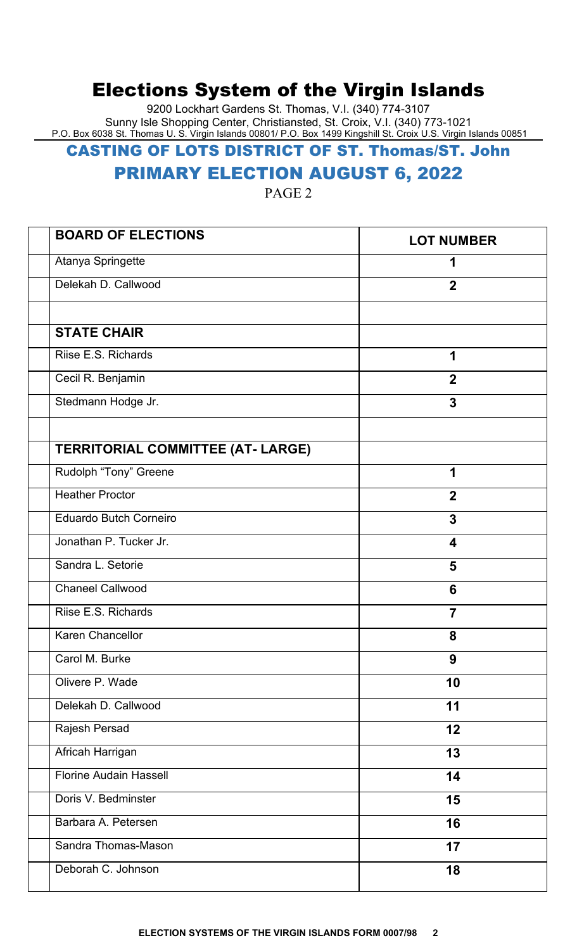## Elections System of the Virgin Islands

9200 Lockhart Gardens St. Thomas, V.I. (340) 774-3107 Sunny Isle Shopping Center, Christiansted, St. Croix, V.I. (340) 773-1021 P.O. Box 6038 St. Thomas U. S. Virgin Islands 00801/ P.O. Box 1499 Kingshill St. Croix U.S. Virgin Islands 00851

#### CASTING OF LOTS DISTRICT OF ST. Thomas/ST. John

### PRIMARY ELECTION AUGUST 6, 2022

PAGE 2

| <b>BOARD OF ELECTIONS</b>                | <b>LOT NUMBER</b> |
|------------------------------------------|-------------------|
| Atanya Springette                        | 1                 |
| Delekah D. Callwood                      | $\overline{2}$    |
|                                          |                   |
| <b>STATE CHAIR</b>                       |                   |
| Riise E.S. Richards                      | 1                 |
| Cecil R. Benjamin                        | $\overline{2}$    |
| Stedmann Hodge Jr.                       | $\overline{3}$    |
| <b>TERRITORIAL COMMITTEE (AT- LARGE)</b> |                   |
| Rudolph "Tony" Greene                    | 1                 |
| <b>Heather Proctor</b>                   | $\overline{2}$    |
| <b>Eduardo Butch Corneiro</b>            | $\overline{3}$    |
| Jonathan P. Tucker Jr.                   | 4                 |
| Sandra L. Setorie                        | 5                 |
| <b>Chaneel Callwood</b>                  | 6                 |
| Riise E.S. Richards                      | $\overline{7}$    |
| <b>Karen Chancellor</b>                  | 8                 |
| Carol M. Burke                           | 9                 |
| Olivere P. Wade                          | 10                |
| Delekah D. Callwood                      | 11                |
| Rajesh Persad                            | 12                |
| Africah Harrigan                         | 13                |
| <b>Florine Audain Hassell</b>            | 14                |
| Doris V. Bedminster                      | 15                |
| Barbara A. Petersen                      | 16                |
| Sandra Thomas-Mason                      | 17                |
| Deborah C. Johnson                       | 18                |